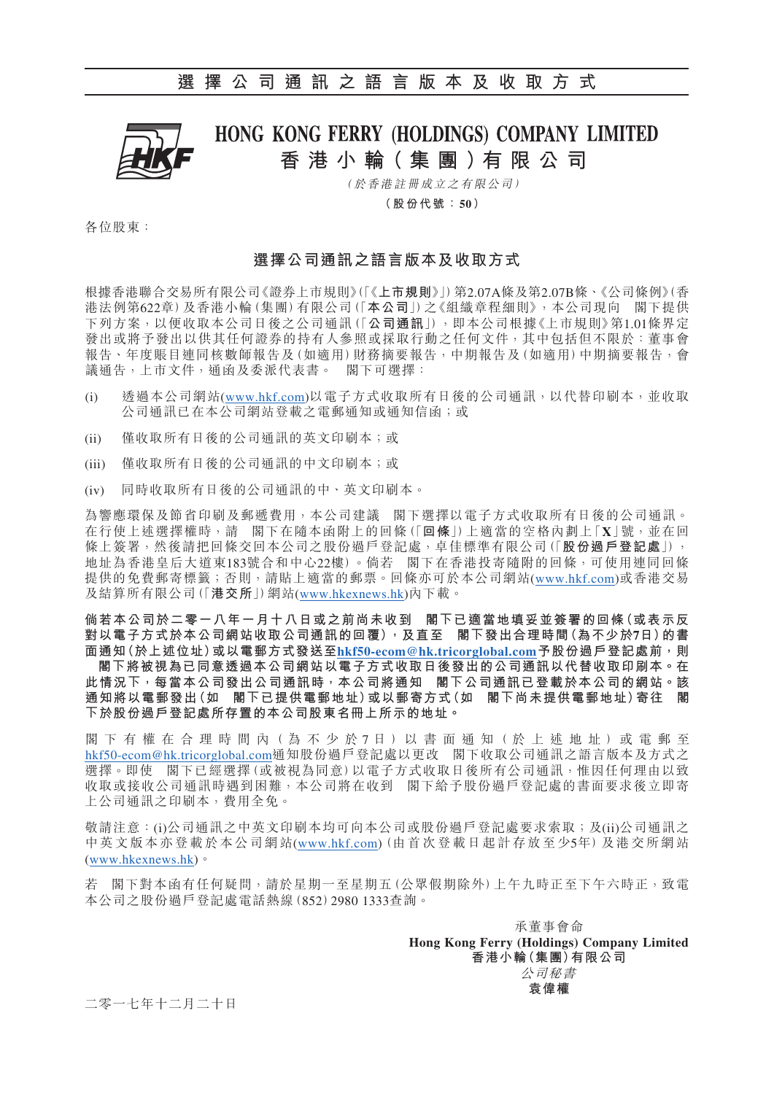

# HONG KONG FERRY (HOLDINGS) COMPANY LIMITED **香港小輪( 集 團 )有 限 公 司**

( 於香港註冊成立之有限公司)

**( 股份代號:50)**

各位股東:

## **選擇公司通訊之語言版本及收取方式**

根據香港聯合交易所有限公司《證券上市規則》(「《**上市規則**》」)第2.07A條及第2.07B條、《公司條例》(香 港法例第622章)及香港小輪(集團)有限公司(「**本公司**」)之《組織章程細則》,本公司現向 閣下提供 下列方案,以便收取本公司日後之公司通訊(「**公司通訊**」),即本公司根據《上市規則》第1.01條界定 發出或將予發出以供其任何證券的持有人參照或採取行動之任何文件,其中包括但不限於:董事會 報告、年度賬目連同核數師報告及(如適用)財務摘要報告,中期報告及(如適用)中期摘要報告,會 議通告,上市文件,通函及委派代表書。 閣下可選擇:

- (i) 透過本公司網站[\(www.hkf.com\)](http://www.hkf.com)以電子方式收取所有日後的公司通訊,以代替印刷本,並收取 公司通訊已在本公司網站登載之電郵通知或通知信函;或
- (ii) 僅收取所有日後的公司通訊的英文印刷本;或
- (iii) 僅收取所有日後的公司通訊的中文印刷本;或
- (iv) 同時收取所有日後的公司通訊的中、英文印刷本。

為響應環保及節省印刷及郵遞費用,本公司建議 閣下選擇以電子方式收取所有日後的公司通訊。 在行使上述選擇權時,請 閣下在隨本函附上的回條(「**回條**」)上適當的空格內劃上「**X**」號,並在回 條上簽署,然後請把回條交回本公司之股份過戶登記處,卓佳標準有限公司(「**股份過戶登記處**」), 地址為香港皇后大道東183號合和中心22樓)。倘若 閣下在香港投寄隨附的回條,可使用連同回條 提供的免費郵寄標籤;否則,請貼上適當的郵票。回條亦可於本公司網站([www.hkf.com](http://www.hkf.com))或香港交易 及結算所有限公司(「**港交所**」)網站([www.hkexnews.hk\)](http://www.hkexnews.hk)內下載。

**倘若本公司於二零一八年一月十八日或之前尚未收到 閣下已適當地填妥並簽署的回條(或表示反 對以電子方式於本公司網站收取公司通訊的回覆),及直至 閣下發出合理時間(為不少於7日)的書** 面通知(於上述位址)或以電郵方式發送至[hkf50-ecom@hk.tricorglobal.com](mailto:hkf50-ecom@hk.tricorglobal.com)予股份過戶登記處前,則  **閣下將被視為已同意透過本公司網站以電子方式收取日後發出的公司通訊以代替收取印刷本。在 此情況下,每當本公司發出公司通訊時,本公司將通知 閣下公司通訊已登載於本公司的網站。該 通知將以電郵發出(如 閣下已提供電郵地址)或以郵寄方式(如 閣下尚未提供電郵地址)寄往 閣 下於股份過戶登記處所存置的本公司股東名冊上所示的地址。**

閣 下 有 權 在 合 理 時 間 內 (為 不 少 於 7 日) 以 書 面 通 知 (於 上 述 地 址) 或 電 郵 至 [hkf50-ecom@hk.tricorglobal.com](mailto:hkf50-ecom@hk.tricorglobal.com)通知股份過戶登記處以更改 閣下收取公司通訊之語言版本及方式之 選擇。即使 閣下已經選擇(或被視為同意)以電子方式收取日後所有公司通訊,惟因任何理由以致 收取或接收公司通訊時遇到困難,本公司將在收到 閣下給予股份過戶登記處的書面要求後立即寄 上公司通訊之印刷本,費用全免。

敬請注意:(i)公司通訊之中英文印刷本均可向本公司或股份過戶登記處要求索取;及(ii)公司通訊之 中英文版本亦登載於本公司網站([www.hkf.com\)](http://www.hkf.com)(由首次登載日起計存放至少5年)及港交所網站 ([www.hkexnews.hk](http://www.hkexnews.hk))。

若 閣下對本函有任何疑問,請於星期一至星期五(公眾假期除外)上午九時正至下午六時正,致電 本公司之股份過戶登記處電話熱線(852)2980 1333查詢。

> 承董事會命 **Hong Kong Ferry (Holdings) Company Limited 香港小輪(集團)有限公司** 公司秘書 **袁偉權**

二零一七年十二月二十日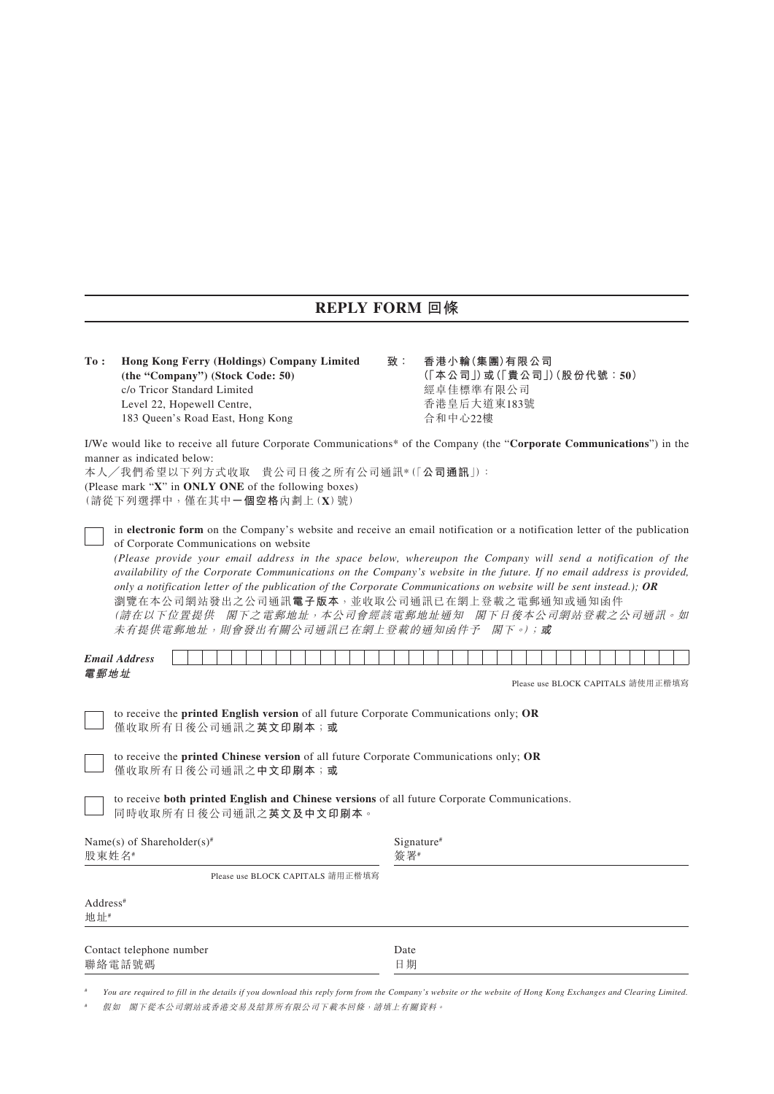# **REPLY FORM 回條**

| To:                                                                                                                                                                                                                                                                                                                                                                                                                                                                                                                                                                                                                                                                                | Hong Kong Ferry (Holdings) Company Limited<br>(the "Company") (Stock Code: 50)<br>c/o Tricor Standard Limited<br>Level 22, Hopewell Centre,<br>183 Queen's Road East, Hong Kong | 香港小輪(集團)有限公司<br>(「本公司」)或(「貴公司」)(股份代號:50)<br>經卓佳標準有限公司<br>香港皇后大道東183號<br>合和中心22樓 |                   |  |  |  |  |  |  |  |                                   |  |  |
|------------------------------------------------------------------------------------------------------------------------------------------------------------------------------------------------------------------------------------------------------------------------------------------------------------------------------------------------------------------------------------------------------------------------------------------------------------------------------------------------------------------------------------------------------------------------------------------------------------------------------------------------------------------------------------|---------------------------------------------------------------------------------------------------------------------------------------------------------------------------------|---------------------------------------------------------------------------------|-------------------|--|--|--|--|--|--|--|-----------------------------------|--|--|
| I/We would like to receive all future Corporate Communications* of the Company (the "Corporate Communications") in the<br>manner as indicated below:<br>本人/我們希望以下列方式收取 貴公司日後之所有公司通訊*(「公司通訊」):<br>(Please mark "X" in ONLY ONE of the following boxes)<br>(請從下列選擇中,僅在其中一個空格內劃上(X)號)                                                                                                                                                                                                                                                                                                                                                                                                 |                                                                                                                                                                                 |                                                                                 |                   |  |  |  |  |  |  |  |                                   |  |  |
| in electronic form on the Company's website and receive an email notification or a notification letter of the publication<br>of Corporate Communications on website<br>(Please provide your email address in the space below, whereupon the Company will send a notification of the<br>availability of the Corporate Communications on the Company's website in the future. If no email address is provided,<br>only a notification letter of the publication of the Corporate Communications on website will be sent instead.); OR<br>瀏覽在本公司網站發出之公司通訊電子版本,並收取公司通訊已在網上登載之電郵通知或通知函件<br>(請在以下位置提供 閣下之電郵地址, 本公司會經該電郵地址通知 閣下日後本公司網站登載之公司通訊。如<br>未有提供電郵地址,則會發出有關公司通訊已在網上登載的通知函件予 閣下。);或 |                                                                                                                                                                                 |                                                                                 |                   |  |  |  |  |  |  |  |                                   |  |  |
|                                                                                                                                                                                                                                                                                                                                                                                                                                                                                                                                                                                                                                                                                    | <b>Email Address</b>                                                                                                                                                            |                                                                                 |                   |  |  |  |  |  |  |  |                                   |  |  |
| 電郵地址                                                                                                                                                                                                                                                                                                                                                                                                                                                                                                                                                                                                                                                                               |                                                                                                                                                                                 |                                                                                 |                   |  |  |  |  |  |  |  | Please use BLOCK CAPITALS 請使用正楷填寫 |  |  |
| to receive the <b>printed English version</b> of all future Corporate Communications only; OR<br>僅收取所有日後公司通訊之英文印刷本;或                                                                                                                                                                                                                                                                                                                                                                                                                                                                                                                                                               |                                                                                                                                                                                 |                                                                                 |                   |  |  |  |  |  |  |  |                                   |  |  |
| to receive the printed Chinese version of all future Corporate Communications only; OR<br>僅收取所有日後公司通訊之中文印刷本;或                                                                                                                                                                                                                                                                                                                                                                                                                                                                                                                                                                      |                                                                                                                                                                                 |                                                                                 |                   |  |  |  |  |  |  |  |                                   |  |  |
|                                                                                                                                                                                                                                                                                                                                                                                                                                                                                                                                                                                                                                                                                    | to receive both printed English and Chinese versions of all future Corporate Communications.<br>同時收取所有日後公司通訊之英文及中文印刷本。                                                          |                                                                                 |                   |  |  |  |  |  |  |  |                                   |  |  |
| Name(s) of Shareholder(s)#<br>股東姓名#                                                                                                                                                                                                                                                                                                                                                                                                                                                                                                                                                                                                                                                |                                                                                                                                                                                 |                                                                                 | Signature#<br>簽署# |  |  |  |  |  |  |  |                                   |  |  |
|                                                                                                                                                                                                                                                                                                                                                                                                                                                                                                                                                                                                                                                                                    | Please use BLOCK CAPITALS 請用正楷填寫                                                                                                                                                |                                                                                 |                   |  |  |  |  |  |  |  |                                   |  |  |
| Address <sup>#</sup><br>地址#                                                                                                                                                                                                                                                                                                                                                                                                                                                                                                                                                                                                                                                        |                                                                                                                                                                                 |                                                                                 |                   |  |  |  |  |  |  |  |                                   |  |  |
| Contact telephone number<br>聯絡電話號碼                                                                                                                                                                                                                                                                                                                                                                                                                                                                                                                                                                                                                                                 |                                                                                                                                                                                 | Date<br>日期                                                                      |                   |  |  |  |  |  |  |  |                                   |  |  |

# *You are required to fill in the details if you download this reply form from the Company's website or the website of Hong Kong Exchanges and Clearing Limited.*

# 假如 閣下從本公司網站或香港交易及結算所有限公司下載本回條,請填上有關資料。